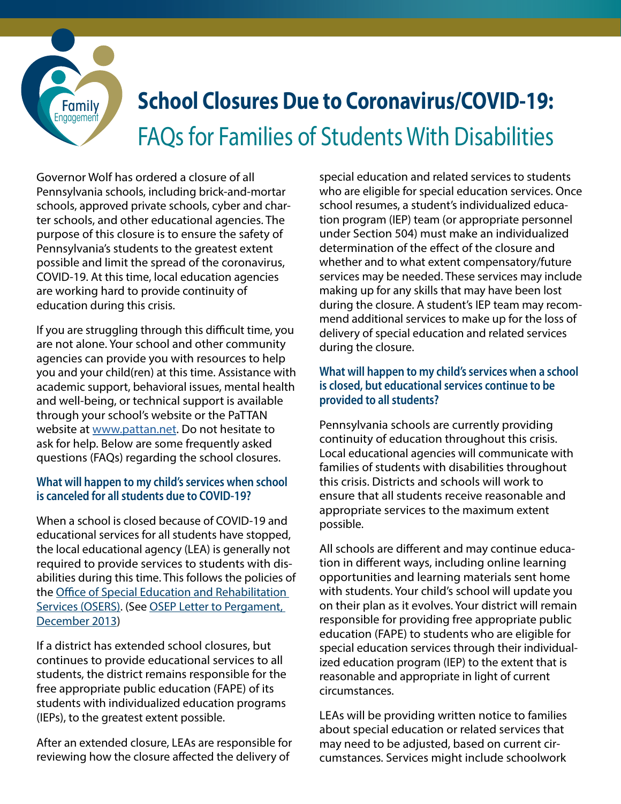

# **School Closures Due to Coronavirus/COVID-19:** FAQs for Families of Students With Disabilities

Governor Wolf has ordered a closure of all Pennsylvania schools, including brick-and-mortar schools, approved private schools, cyber and charter schools, and other educational agencies. The purpose of this closure is to ensure the safety of Pennsylvania's students to the greatest extent possible and limit the spread of the coronavirus, COVID-19. At this time, local education agencies are working hard to provide continuity of education during this crisis.

If you are struggling through this difficult time, you are not alone. Your school and other community agencies can provide you with resources to help you and your child(ren) at this time. Assistance with academic support, behavioral issues, mental health and well-being, or technical support is available through your school's website or the PaTTAN website at [www.pattan.net.](https://www.pattan.net/) Do not hesitate to ask for help. Below are some frequently asked questions (FAQs) regarding the school closures.

### **What will happen to my child's services when school is canceled for all students due to COVID-19?**

When a school is closed because of COVID-19 and educational services for all students have stopped, the local educational agency (LEA) is generally not required to provide services to students with disabilities during this time. This follows the policies of the [Office of Special Education and Rehabilitation](https://www2.ed.gov/about/offices/list/osers/index.html)  [Services \(OSERS\).](https://www2.ed.gov/about/offices/list/osers/index.html) (See [OSEP Letter to Pergament,](https://www2.ed.gov/policy/speced/guid/idea/memosdcltrs/12-023414-il-pergament-makeup.pdf)  [December 2013](https://www2.ed.gov/policy/speced/guid/idea/memosdcltrs/12-023414-il-pergament-makeup.pdf))

If a district has extended school closures, but continues to provide educational services to all students, the district remains responsible for the free appropriate public education (FAPE) of its students with individualized education programs (IEPs), to the greatest extent possible.

After an extended closure, LEAs are responsible for reviewing how the closure affected the delivery of

special education and related services to students who are eligible for special education services. Once school resumes, a student's individualized education program (IEP) team (or appropriate personnel under Section 504) must make an individualized determination of the effect of the closure and whether and to what extent compensatory/future services may be needed. These services may include making up for any skills that may have been lost during the closure. A student's IEP team may recommend additional services to make up for the loss of delivery of special education and related services during the closure.

### **What will happen to my child's services when a school is closed, but educational services continue to be provided to all students?**

Pennsylvania schools are currently providing continuity of education throughout this crisis. Local educational agencies will communicate with families of students with disabilities throughout this crisis. Districts and schools will work to ensure that all students receive reasonable and appropriate services to the maximum extent possible.

All schools are different and may continue education in different ways, including online learning opportunities and learning materials sent home with students. Your child's school will update you on their plan as it evolves. Your district will remain responsible for providing free appropriate public education (FAPE) to students who are eligible for special education services through their individualized education program (IEP) to the extent that is reasonable and appropriate in light of current circumstances.

LEAs will be providing written notice to families about special education or related services that may need to be adjusted, based on current circumstances. Services might include schoolwork